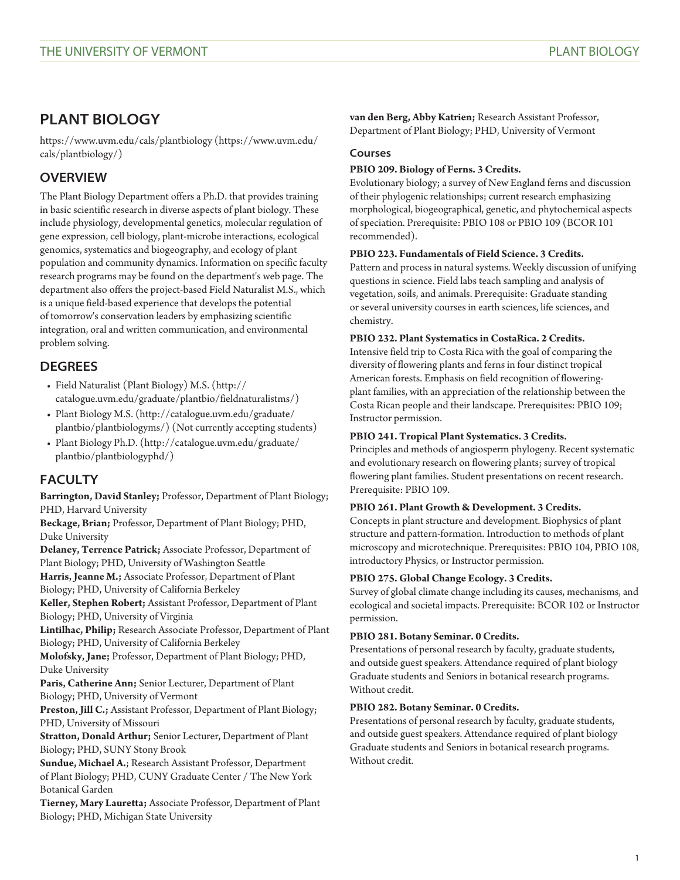# **PLANT BIOLOGY**

[https://www.uvm.edu/cals/plantbiology](https://www.uvm.edu/cals/plantbiology/) [\(https://www.uvm.edu/](https://www.uvm.edu/cals/plantbiology/) [cals/plantbiology/](https://www.uvm.edu/cals/plantbiology/))

## **OVERVIEW**

The Plant Biology Department offers a Ph.D. that provides training in basic scientific research in diverse aspects of plant biology. These include physiology, developmental genetics, molecular regulation of gene expression, cell biology, plant-microbe interactions, ecological genomics, systematics and biogeography, and ecology of plant population and community dynamics. Information on specific faculty research programs may be found on the department's web page. The department also offers the project-based Field Naturalist M.S., which is a unique field-based experience that develops the potential of tomorrow's conservation leaders by emphasizing scientific integration, oral and written communication, and environmental problem solving.

## **DEGREES**

- [Field Naturalist \(Plant Biology\) M.S.](http://catalogue.uvm.edu/graduate/plantbio/fieldnaturalistms/) ([http://](http://catalogue.uvm.edu/graduate/plantbio/fieldnaturalistms/) [catalogue.uvm.edu/graduate/plantbio/fieldnaturalistms/\)](http://catalogue.uvm.edu/graduate/plantbio/fieldnaturalistms/)
- [Plant Biology M.S.](http://catalogue.uvm.edu/graduate/plantbio/plantbiologyms/) ([http://catalogue.uvm.edu/graduate/](http://catalogue.uvm.edu/graduate/plantbio/plantbiologyms/) [plantbio/plantbiologyms/\)](http://catalogue.uvm.edu/graduate/plantbio/plantbiologyms/) (Not currently accepting students)
- [Plant Biology Ph.D.](http://catalogue.uvm.edu/graduate/plantbio/plantbiologyphd/) [\(http://catalogue.uvm.edu/graduate/](http://catalogue.uvm.edu/graduate/plantbio/plantbiologyphd/) [plantbio/plantbiologyphd/\)](http://catalogue.uvm.edu/graduate/plantbio/plantbiologyphd/)

## **FACULTY**

**Barrington, David Stanley;** Professor, Department of Plant Biology; PHD, Harvard University

**Beckage, Brian;** Professor, Department of Plant Biology; PHD, Duke University

**Delaney, Terrence Patrick;** Associate Professor, Department of Plant Biology; PHD, University of Washington Seattle

**Harris, Jeanne M.;** Associate Professor, Department of Plant Biology; PHD, University of California Berkeley

**Keller, Stephen Robert;** Assistant Professor, Department of Plant Biology; PHD, University of Virginia

**Lintilhac, Philip;** Research Associate Professor, Department of Plant Biology; PHD, University of California Berkeley

**Molofsky, Jane;** Professor, Department of Plant Biology; PHD, Duke University

**Paris, Catherine Ann;** Senior Lecturer, Department of Plant Biology; PHD, University of Vermont

**Preston, Jill C.;** Assistant Professor, Department of Plant Biology; PHD, University of Missouri

**Stratton, Donald Arthur;** Senior Lecturer, Department of Plant Biology; PHD, SUNY Stony Brook

**Sundue, Michael A.**; Research Assistant Professor, Department of Plant Biology; PHD, CUNY Graduate Center / The New York Botanical Garden

**Tierney, Mary Lauretta;** Associate Professor, Department of Plant Biology; PHD, Michigan State University

**van den Berg, Abby Katrien;** Research Assistant Professor, Department of Plant Biology; PHD, University of Vermont

## **Courses**

## **PBIO 209. Biology of Ferns. 3 Credits.**

Evolutionary biology; a survey of New England ferns and discussion of their phylogenic relationships; current research emphasizing morphological, biogeographical, genetic, and phytochemical aspects of speciation. Prerequisite: [PBIO 108](/search/?P=PBIO%20108) or [PBIO 109](/search/?P=PBIO%20109) ([BCOR 101](/search/?P=BCOR%20101) recommended).

## **PBIO 223. Fundamentals of Field Science. 3 Credits.**

Pattern and process in natural systems. Weekly discussion of unifying questions in science. Field labs teach sampling and analysis of vegetation, soils, and animals. Prerequisite: Graduate standing or several university courses in earth sciences, life sciences, and chemistry.

## **PBIO 232. Plant Systematics in CostaRica. 2 Credits.**

Intensive field trip to Costa Rica with the goal of comparing the diversity of flowering plants and ferns in four distinct tropical American forests. Emphasis on field recognition of floweringplant families, with an appreciation of the relationship between the Costa Rican people and their landscape. Prerequisites: [PBIO 109;](/search/?P=PBIO%20109) Instructor permission.

## **PBIO 241. Tropical Plant Systematics. 3 Credits.**

Principles and methods of angiosperm phylogeny. Recent systematic and evolutionary research on flowering plants; survey of tropical flowering plant families. Student presentations on recent research. Prerequisite: [PBIO 109](/search/?P=PBIO%20109).

### **PBIO 261. Plant Growth & Development. 3 Credits.**

Concepts in plant structure and development. Biophysics of plant structure and pattern-formation. Introduction to methods of plant microscopy and microtechnique. Prerequisites: [PBIO 104,](/search/?P=PBIO%20104) [PBIO 108,](/search/?P=PBIO%20108) introductory Physics, or Instructor permission.

## **PBIO 275. Global Change Ecology. 3 Credits.**

Survey of global climate change including its causes, mechanisms, and ecological and societal impacts. Prerequisite: [BCOR 102](/search/?P=BCOR%20102) or Instructor permission.

### **PBIO 281. Botany Seminar. 0 Credits.**

Presentations of personal research by faculty, graduate students, and outside guest speakers. Attendance required of plant biology Graduate students and Seniors in botanical research programs. Without credit.

### **PBIO 282. Botany Seminar. 0 Credits.**

Presentations of personal research by faculty, graduate students, and outside guest speakers. Attendance required of plant biology Graduate students and Seniors in botanical research programs. Without credit.